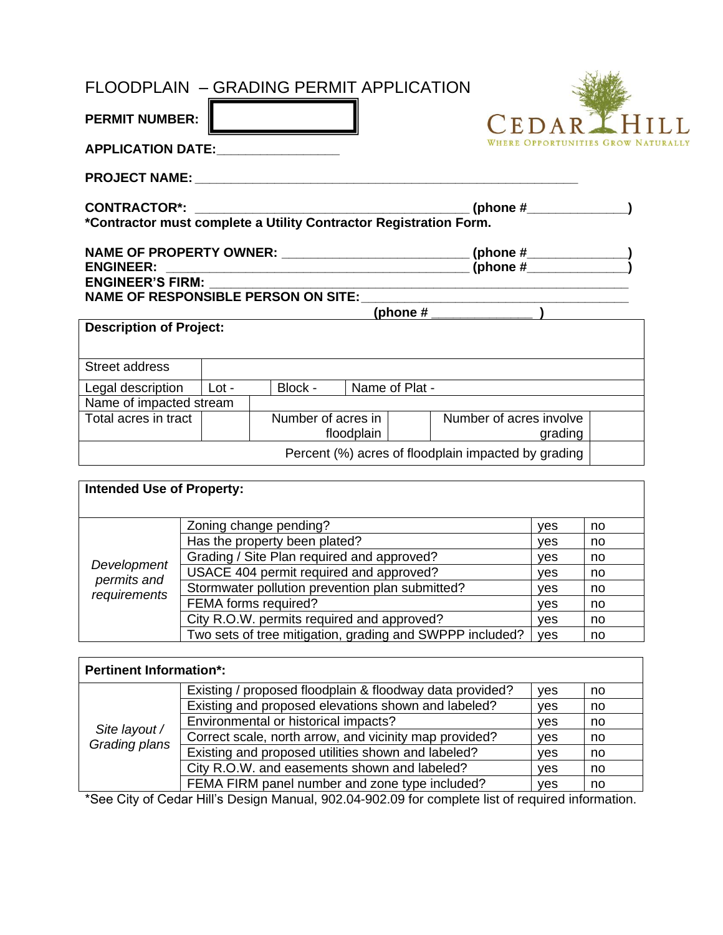## FLOODPLAIN – GRADING PERMIT APPLICATION

| <b>PERMIT NUMBER:</b>                                             |                    |                |                                                                            | CEDARIHIL |  |
|-------------------------------------------------------------------|--------------------|----------------|----------------------------------------------------------------------------|-----------|--|
| <b>APPLICATION DATE:</b>                                          |                    |                |                                                                            |           |  |
|                                                                   |                    |                |                                                                            |           |  |
| *Contractor must complete a Utility Contractor Registration Form. |                    |                |                                                                            |           |  |
| <b>ENGINEER:</b>                                                  |                    |                | NAME OF PROPERTY OWNER: ____________________________(phone #_____________) |           |  |
|                                                                   |                    |                | (phone # $\sqrt{ }$ )                                                      |           |  |
| <b>Description of Project:</b>                                    |                    |                |                                                                            |           |  |
| Street address                                                    |                    |                |                                                                            |           |  |
| Legal description   Lot -                                         | Block -            | Name of Plat - |                                                                            |           |  |
| Name of impacted stream                                           |                    |                |                                                                            |           |  |
| Total acres in tract                                              | Number of acres in | floodplain     | Number of acres involve                                                    | grading   |  |
|                                                                   |                    |                | Percent (%) acres of floodplain impacted by grading                        |           |  |

| <b>Intended Use of Property:</b> |                                                          |            |    |
|----------------------------------|----------------------------------------------------------|------------|----|
|                                  |                                                          |            |    |
|                                  | Zoning change pending?                                   | <b>ves</b> | no |
|                                  | Has the property been plated?                            | <b>ves</b> | no |
|                                  | Grading / Site Plan required and approved?               | <b>ves</b> | no |
| Development<br>permits and       | USACE 404 permit required and approved?                  | ves        | no |
| requirements                     | Stormwater pollution prevention plan submitted?          | <b>ves</b> | no |
|                                  | FEMA forms required?                                     | <b>ves</b> | no |
|                                  | City R.O.W. permits required and approved?               | <b>ves</b> | no |
|                                  | Two sets of tree mitigation, grading and SWPPP included? | ves        | no |

| <b>Pertinent Information*:</b> |                                                          |            |    |
|--------------------------------|----------------------------------------------------------|------------|----|
|                                | Existing / proposed floodplain & floodway data provided? | ves        | no |
|                                | Existing and proposed elevations shown and labeled?      | <b>ves</b> | no |
|                                | Environmental or historical impacts?                     | ves        | no |
| Site layout /<br>Grading plans | Correct scale, north arrow, and vicinity map provided?   | ves        | no |
|                                | Existing and proposed utilities shown and labeled?       | ves        | no |
|                                | City R.O.W. and easements shown and labeled?             | <b>ves</b> | no |
|                                | FEMA FIRM panel number and zone type included?           | ves        | no |

\*See City of Cedar Hill's Design Manual, 902.04-902.09 for complete list of required information.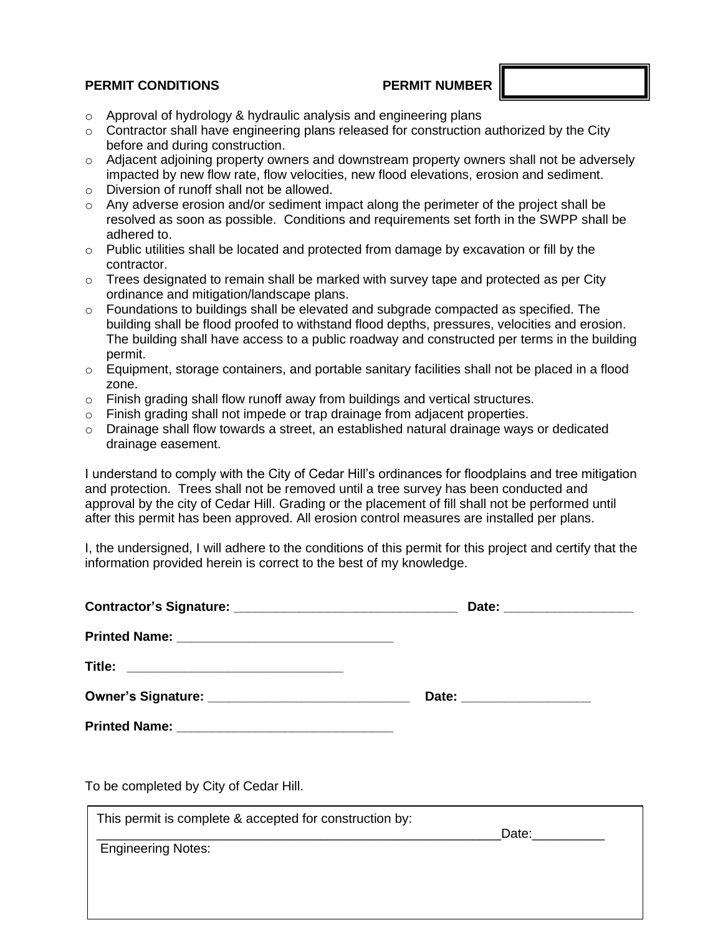## **PERMIT CONDITIONS PERMIT NUMBER**

- o Approval of hydrology & hydraulic analysis and engineering plans
- o Contractor shall have engineering plans released for construction authorized by the City before and during construction.
- $\circ$  Adjacent adjoining property owners and downstream property owners shall not be adversely impacted by new flow rate, flow velocities, new flood elevations, erosion and sediment.
- o Diversion of runoff shall not be allowed.
- $\circ$  Any adverse erosion and/or sediment impact along the perimeter of the project shall be resolved as soon as possible. Conditions and requirements set forth in the SWPP shall be adhered to.
- $\circ$  Public utilities shall be located and protected from damage by excavation or fill by the contractor.
- $\circ$  Trees designated to remain shall be marked with survey tape and protected as per City ordinance and mitigation/landscape plans.
- $\circ$  Foundations to buildings shall be elevated and subgrade compacted as specified. The building shall be flood proofed to withstand flood depths, pressures, velocities and erosion. The building shall have access to a public roadway and constructed per terms in the building permit.
- o Equipment, storage containers, and portable sanitary facilities shall not be placed in a flood zone.
- $\circ$  Finish grading shall flow runoff away from buildings and vertical structures.
- $\circ$  Finish grading shall not impede or trap drainage from adjacent properties.
- o Drainage shall flow towards a street, an established natural drainage ways or dedicated drainage easement.

I understand to comply with the City of Cedar Hill's ordinances for floodplains and tree mitigation and protection. Trees shall not be removed until a tree survey has been conducted and approval by the city of Cedar Hill. Grading or the placement of fill shall not be performed until after this permit has been approved. All erosion control measures are installed per plans.

I, the undersigned, I will adhere to the conditions of this permit for this project and certify that the information provided herein is correct to the best of my knowledge.

|                                                         | Date: ____________________                                                                                                                                                                                                    |  |
|---------------------------------------------------------|-------------------------------------------------------------------------------------------------------------------------------------------------------------------------------------------------------------------------------|--|
|                                                         |                                                                                                                                                                                                                               |  |
| Title: ___________________________________              |                                                                                                                                                                                                                               |  |
|                                                         | Date: ____________________                                                                                                                                                                                                    |  |
|                                                         |                                                                                                                                                                                                                               |  |
| To be completed by City of Cedar Hill.                  |                                                                                                                                                                                                                               |  |
| This permit is complete & accepted for construction by: | Date: and the state of the state of the state of the state of the state of the state of the state of the state of the state of the state of the state of the state of the state of the state of the state of the state of the |  |
| <b>Engineering Notes:</b>                               |                                                                                                                                                                                                                               |  |